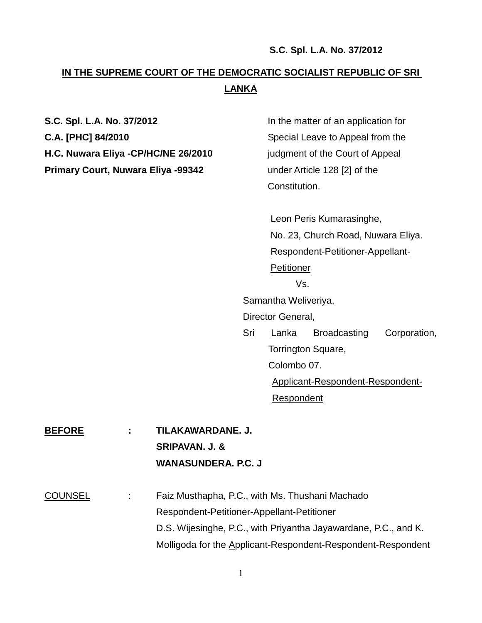# **IN THE SUPREME COURT OF THE DEMOCRATIC SOCIALIST REPUBLIC OF SRI LANKA**

| S.C. Spl. L.A. No. 37/2012          |                   | In the matter of an application for                                                                                            |                     |                              |  |
|-------------------------------------|-------------------|--------------------------------------------------------------------------------------------------------------------------------|---------------------|------------------------------|--|
| C.A. [PHC] 84/2010                  |                   | Special Leave to Appeal from the                                                                                               |                     |                              |  |
| H.C. Nuwara Eliya -CP/HC/NE 26/2010 |                   | judgment of the Court of Appeal                                                                                                |                     |                              |  |
| Primary Court, Nuwara Eliya -99342  |                   |                                                                                                                                |                     | under Article 128 [2] of the |  |
|                                     |                   | Constitution.                                                                                                                  |                     |                              |  |
|                                     |                   |                                                                                                                                |                     |                              |  |
|                                     |                   | Leon Peris Kumarasinghe,<br>No. 23, Church Road, Nuwara Eliya.<br>Respondent-Petitioner-Appellant-<br><b>Petitioner</b><br>Vs. |                     |                              |  |
|                                     |                   |                                                                                                                                |                     |                              |  |
|                                     |                   |                                                                                                                                |                     |                              |  |
|                                     |                   |                                                                                                                                |                     |                              |  |
|                                     |                   |                                                                                                                                |                     |                              |  |
|                                     |                   | Samantha Weliveriya,                                                                                                           |                     |                              |  |
|                                     | Director General, |                                                                                                                                |                     |                              |  |
|                                     | Sri               | Lanka                                                                                                                          | <b>Broadcasting</b> | Corporation,                 |  |
|                                     |                   | Torrington Square,<br>Colombo 07.<br>Applicant-Respondent-Respondent-<br>Respondent                                            |                     |                              |  |
|                                     |                   |                                                                                                                                |                     |                              |  |
|                                     |                   |                                                                                                                                |                     |                              |  |
|                                     |                   |                                                                                                                                |                     |                              |  |
|                                     |                   |                                                                                                                                |                     |                              |  |
| TILAKAWARDANE. J.<br><b>BEFORE</b>  |                   |                                                                                                                                |                     |                              |  |
| <b>SRIPAVAN. J. &amp;</b>           |                   |                                                                                                                                |                     |                              |  |

COUNSEL : Faiz Musthapha, P.C., with Ms. Thushani Machado Respondent-Petitioner-Appellant-Petitioner D.S. Wijesinghe, P.C., with Priyantha Jayawardane, P.C., and K. Molligoda for the Applicant-Respondent-Respondent-Respondent

**WANASUNDERA. P.C. J**

1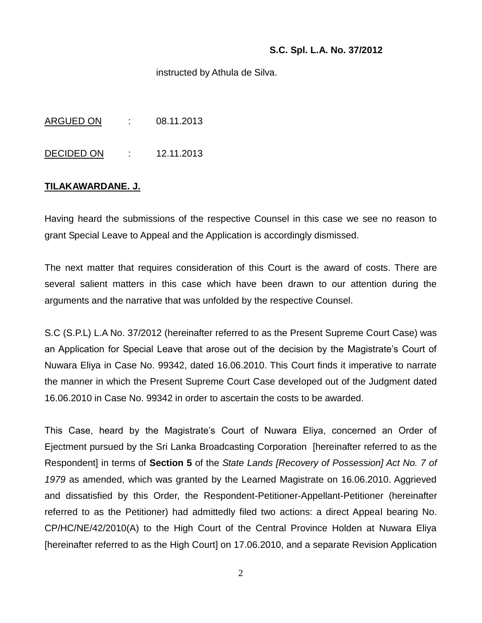instructed by Athula de Silva.

ARGUED ON : 08.11.2013

DECIDED ON : 12.11.2013

### **TILAKAWARDANE. J.**

Having heard the submissions of the respective Counsel in this case we see no reason to grant Special Leave to Appeal and the Application is accordingly dismissed.

The next matter that requires consideration of this Court is the award of costs. There are several salient matters in this case which have been drawn to our attention during the arguments and the narrative that was unfolded by the respective Counsel.

S.C (S.P.L) L.A No. 37/2012 (hereinafter referred to as the Present Supreme Court Case) was an Application for Special Leave that arose out of the decision by the Magistrate's Court of Nuwara Eliya in Case No. 99342, dated 16.06.2010. This Court finds it imperative to narrate the manner in which the Present Supreme Court Case developed out of the Judgment dated 16.06.2010 in Case No. 99342 in order to ascertain the costs to be awarded.

This Case, heard by the Magistrate's Court of Nuwara Eliya, concerned an Order of Ejectment pursued by the Sri Lanka Broadcasting Corporation [hereinafter referred to as the Respondent] in terms of **Section 5** of the *State Lands [Recovery of Possession] Act No. 7 of 1979* as amended, which was granted by the Learned Magistrate on 16.06.2010. Aggrieved and dissatisfied by this Order, the Respondent-Petitioner-Appellant-Petitioner (hereinafter referred to as the Petitioner) had admittedly filed two actions: a direct Appeal bearing No. CP/HC/NE/42/2010(A) to the High Court of the Central Province Holden at Nuwara Eliya [hereinafter referred to as the High Court] on 17.06.2010, and a separate Revision Application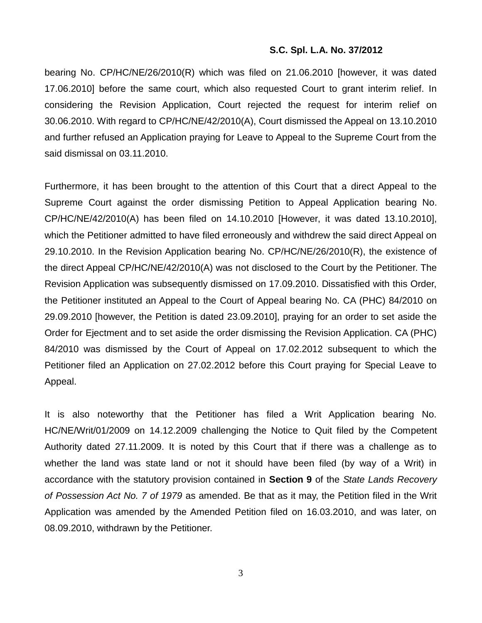bearing No. CP/HC/NE/26/2010(R) which was filed on 21.06.2010 [however, it was dated 17.06.2010] before the same court, which also requested Court to grant interim relief. In considering the Revision Application, Court rejected the request for interim relief on 30.06.2010. With regard to CP/HC/NE/42/2010(A), Court dismissed the Appeal on 13.10.2010 and further refused an Application praying for Leave to Appeal to the Supreme Court from the said dismissal on 03.11.2010.

Furthermore, it has been brought to the attention of this Court that a direct Appeal to the Supreme Court against the order dismissing Petition to Appeal Application bearing No. CP/HC/NE/42/2010(A) has been filed on 14.10.2010 [However, it was dated 13.10.2010], which the Petitioner admitted to have filed erroneously and withdrew the said direct Appeal on 29.10.2010. In the Revision Application bearing No. CP/HC/NE/26/2010(R), the existence of the direct Appeal CP/HC/NE/42/2010(A) was not disclosed to the Court by the Petitioner. The Revision Application was subsequently dismissed on 17.09.2010. Dissatisfied with this Order, the Petitioner instituted an Appeal to the Court of Appeal bearing No. CA (PHC) 84/2010 on 29.09.2010 [however, the Petition is dated 23.09.2010], praying for an order to set aside the Order for Ejectment and to set aside the order dismissing the Revision Application. CA (PHC) 84/2010 was dismissed by the Court of Appeal on 17.02.2012 subsequent to which the Petitioner filed an Application on 27.02.2012 before this Court praying for Special Leave to Appeal.

It is also noteworthy that the Petitioner has filed a Writ Application bearing No. HC/NE/Writ/01/2009 on 14.12.2009 challenging the Notice to Quit filed by the Competent Authority dated 27.11.2009. It is noted by this Court that if there was a challenge as to whether the land was state land or not it should have been filed (by way of a Writ) in accordance with the statutory provision contained in **Section 9** of the *State Lands Recovery of Possession Act No. 7 of 1979* as amended. Be that as it may, the Petition filed in the Writ Application was amended by the Amended Petition filed on 16.03.2010, and was later, on 08.09.2010, withdrawn by the Petitioner.

3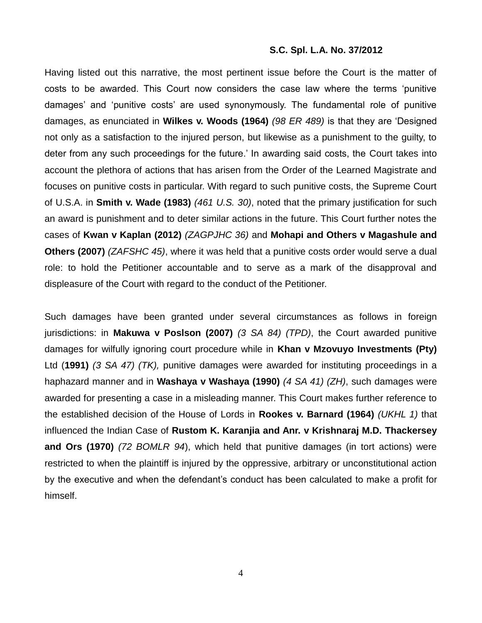Having listed out this narrative, the most pertinent issue before the Court is the matter of costs to be awarded. This Court now considers the case law where the terms 'punitive damages' and 'punitive costs' are used synonymously. The fundamental role of punitive damages, as enunciated in **Wilkes v. Woods (1964)** *(98 ER 489)* is that they are 'Designed not only as a satisfaction to the injured person, but likewise as a punishment to the guilty, to deter from any such proceedings for the future.' In awarding said costs, the Court takes into account the plethora of actions that has arisen from the Order of the Learned Magistrate and focuses on punitive costs in particular. With regard to such punitive costs, the Supreme Court of U.S.A. in **Smith v. Wade (1983)** *(461 U.S. 30)*, noted that the primary justification for such an award is punishment and to deter similar actions in the future. This Court further notes the cases of **Kwan v Kaplan (2012)** *(ZAGPJHC 36)* and **Mohapi and Others v Magashule and Others (2007)** *(ZAFSHC 45)*, where it was held that a punitive costs order would serve a dual role: to hold the Petitioner accountable and to serve as a mark of the disapproval and displeasure of the Court with regard to the conduct of the Petitioner.

Such damages have been granted under several circumstances as follows in foreign jurisdictions: in **Makuwa v Poslson (2007)** *(3 SA 84) (TPD)*, the Court awarded punitive damages for wilfully ignoring court procedure while in **Khan v Mzovuyo Investments (Pty)**  Ltd (**1991)** *[\(3 SA 47\)](http://www.saflii.org/cgi-bin/LawCite?cit=1991%20%283%29%20SA%2047) (TK),* punitive damages were awarded for instituting proceedings in a haphazard manner and in **Washaya v Washaya (1990)** *(4 SA 41) (ZH)*, such damages were awarded for presenting a case in a misleading manner. This Court makes further reference to the established decision of the House of Lords in **Rookes v. Barnard (1964)** *(UKHL 1)* that influenced the Indian Case of **Rustom K. Karanjia and Anr. v Krishnaraj M.D. Thackersey and Ors (1970)** *(72 BOMLR 94*), which held that punitive damages (in tort actions) were restricted to when the plaintiff is injured by the oppressive, arbitrary or unconstitutional action by the executive and when the defendant's conduct has been calculated to make a profit for himself.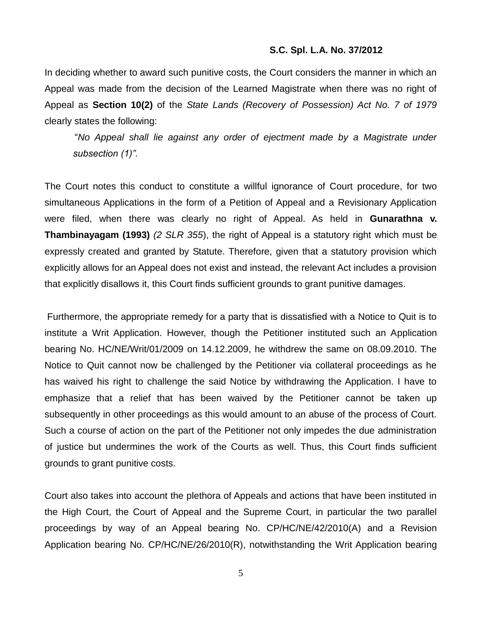In deciding whether to award such punitive costs, the Court considers the manner in which an Appeal was made from the decision of the Learned Magistrate when there was no right of Appeal as **Section 10(2)** of the *State Lands (Recovery of Possession) Act No. 7 of 1979*  clearly states the following:

"*No Appeal shall lie against any order of ejectment made by a Magistrate under subsection (1)".*

The Court notes this conduct to constitute a willful ignorance of Court procedure, for two simultaneous Applications in the form of a Petition of Appeal and a Revisionary Application were filed, when there was clearly no right of Appeal. As held in **Gunarathna v. Thambinayagam (1993)** *(2 SLR 355*), the right of Appeal is a statutory right which must be expressly created and granted by Statute. Therefore, given that a statutory provision which explicitly allows for an Appeal does not exist and instead, the relevant Act includes a provision that explicitly disallows it, this Court finds sufficient grounds to grant punitive damages.

Furthermore, the appropriate remedy for a party that is dissatisfied with a Notice to Quit is to institute a Writ Application. However, though the Petitioner instituted such an Application bearing No. HC/NE/Writ/01/2009 on 14.12.2009, he withdrew the same on 08.09.2010. The Notice to Quit cannot now be challenged by the Petitioner via collateral proceedings as he has waived his right to challenge the said Notice by withdrawing the Application. I have to emphasize that a relief that has been waived by the Petitioner cannot be taken up subsequently in other proceedings as this would amount to an abuse of the process of Court. Such a course of action on the part of the Petitioner not only impedes the due administration of justice but undermines the work of the Courts as well. Thus, this Court finds sufficient grounds to grant punitive costs.

Court also takes into account the plethora of Appeals and actions that have been instituted in the High Court, the Court of Appeal and the Supreme Court, in particular the two parallel proceedings by way of an Appeal bearing No. CP/HC/NE/42/2010(A) and a Revision Application bearing No. CP/HC/NE/26/2010(R), notwithstanding the Writ Application bearing

5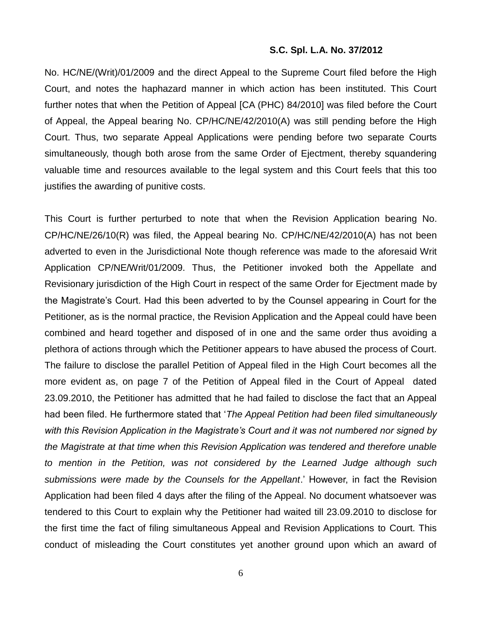No. HC/NE/(Writ)/01/2009 and the direct Appeal to the Supreme Court filed before the High Court, and notes the haphazard manner in which action has been instituted. This Court further notes that when the Petition of Appeal [CA (PHC) 84/2010] was filed before the Court of Appeal, the Appeal bearing No. CP/HC/NE/42/2010(A) was still pending before the High Court. Thus, two separate Appeal Applications were pending before two separate Courts simultaneously, though both arose from the same Order of Ejectment, thereby squandering valuable time and resources available to the legal system and this Court feels that this too justifies the awarding of punitive costs.

This Court is further perturbed to note that when the Revision Application bearing No. CP/HC/NE/26/10(R) was filed, the Appeal bearing No. CP/HC/NE/42/2010(A) has not been adverted to even in the Jurisdictional Note though reference was made to the aforesaid Writ Application CP/NE/Writ/01/2009. Thus, the Petitioner invoked both the Appellate and Revisionary jurisdiction of the High Court in respect of the same Order for Ejectment made by the Magistrate's Court. Had this been adverted to by the Counsel appearing in Court for the Petitioner, as is the normal practice, the Revision Application and the Appeal could have been combined and heard together and disposed of in one and the same order thus avoiding a plethora of actions through which the Petitioner appears to have abused the process of Court. The failure to disclose the parallel Petition of Appeal filed in the High Court becomes all the more evident as, on page 7 of the Petition of Appeal filed in the Court of Appeal dated 23.09.2010, the Petitioner has admitted that he had failed to disclose the fact that an Appeal had been filed. He furthermore stated that '*The Appeal Petition had been filed simultaneously with this Revision Application in the Magistrate's Court and it was not numbered nor signed by the Magistrate at that time when this Revision Application was tendered and therefore unable to mention in the Petition, was not considered by the Learned Judge although such submissions were made by the Counsels for the Appellant*.' However, in fact the Revision Application had been filed 4 days after the filing of the Appeal. No document whatsoever was tendered to this Court to explain why the Petitioner had waited till 23.09.2010 to disclose for the first time the fact of filing simultaneous Appeal and Revision Applications to Court. This conduct of misleading the Court constitutes yet another ground upon which an award of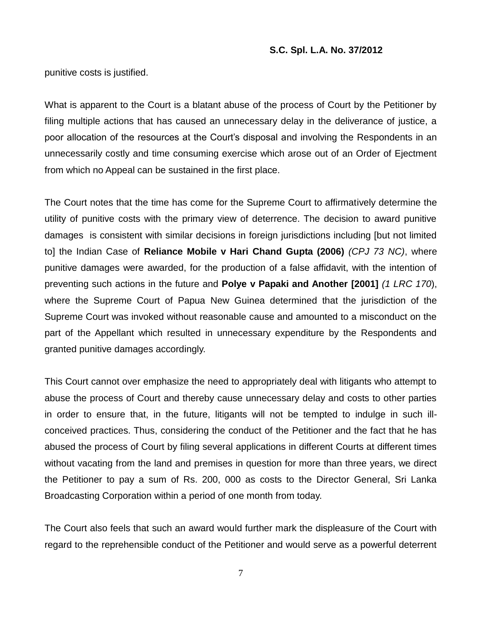punitive costs is justified.

What is apparent to the Court is a blatant abuse of the process of Court by the Petitioner by filing multiple actions that has caused an unnecessary delay in the deliverance of justice, a poor allocation of the resources at the Court's disposal and involving the Respondents in an unnecessarily costly and time consuming exercise which arose out of an Order of Ejectment from which no Appeal can be sustained in the first place.

The Court notes that the time has come for the Supreme Court to affirmatively determine the utility of punitive costs with the primary view of deterrence. The decision to award punitive damages is consistent with similar decisions in foreign jurisdictions including [but not limited to] the Indian Case of **Reliance Mobile v Hari Chand Gupta (2006)** *(CPJ 73 NC)*, where punitive damages were awarded, for the production of a false affidavit, with the intention of preventing such actions in the future and **Polye v Papaki and Another [2001]** *(1 LRC 170*), where the Supreme Court of Papua New Guinea determined that the jurisdiction of the Supreme Court was invoked without reasonable cause and amounted to a misconduct on the part of the Appellant which resulted in unnecessary expenditure by the Respondents and granted punitive damages accordingly.

This Court cannot over emphasize the need to appropriately deal with litigants who attempt to abuse the process of Court and thereby cause unnecessary delay and costs to other parties in order to ensure that, in the future, litigants will not be tempted to indulge in such illconceived practices. Thus, considering the conduct of the Petitioner and the fact that he has abused the process of Court by filing several applications in different Courts at different times without vacating from the land and premises in question for more than three years, we direct the Petitioner to pay a sum of Rs. 200, 000 as costs to the Director General, Sri Lanka Broadcasting Corporation within a period of one month from today.

The Court also feels that such an award would further mark the displeasure of the Court with regard to the reprehensible conduct of the Petitioner and would serve as a powerful deterrent